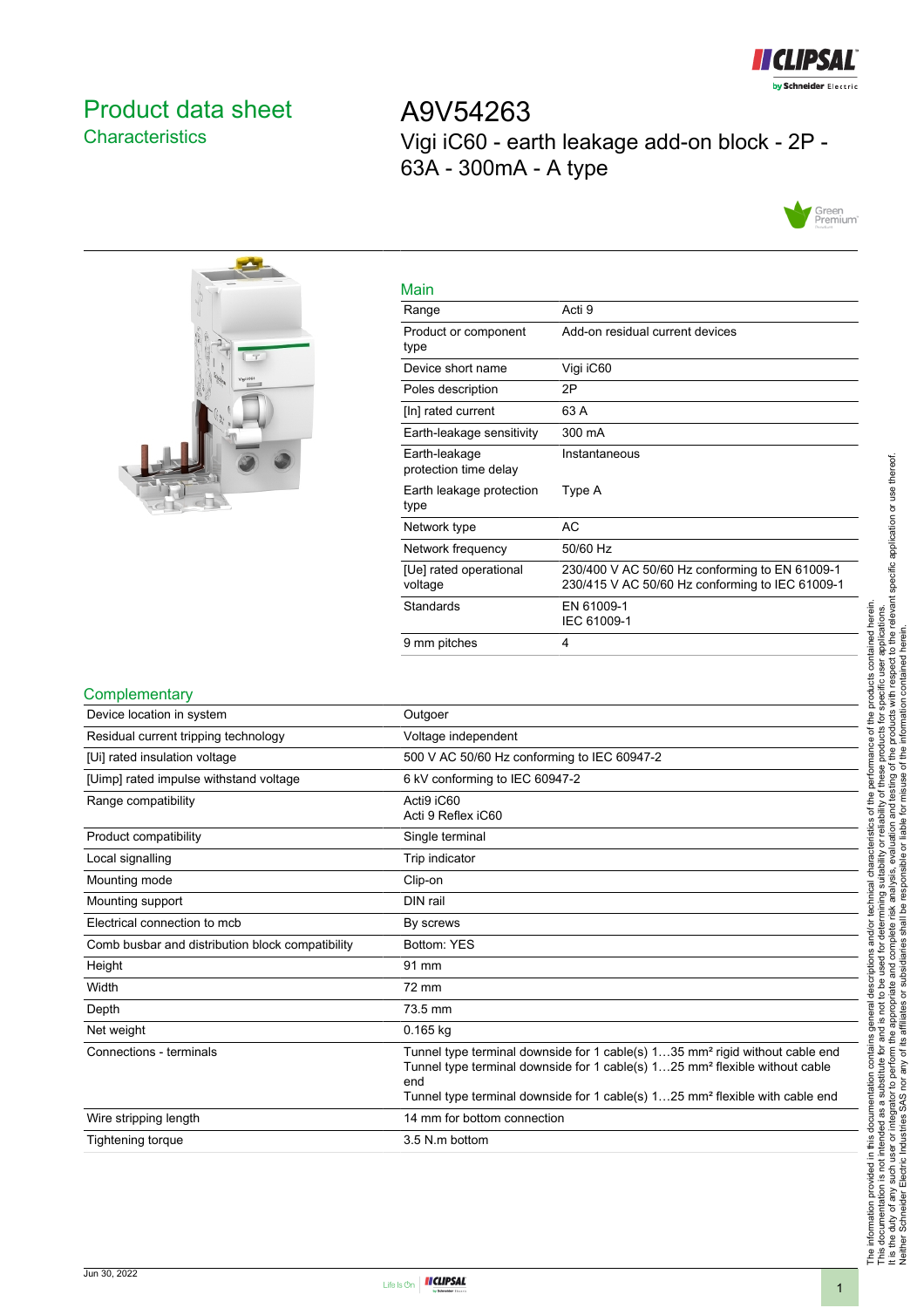

# <span id="page-0-0"></span>Product data sheet **Characteristics**

A9V54263 Vigi iC60 - earth leakage add-on block - 2P - 63A - 300mA - A type





| Main                                   |                                                                                                   |
|----------------------------------------|---------------------------------------------------------------------------------------------------|
| Range                                  | Acti 9                                                                                            |
| Product or component<br>type           | Add-on residual current devices                                                                   |
| Device short name                      | Vigi iC60                                                                                         |
| Poles description                      | 2P                                                                                                |
| [In] rated current                     | 63 A                                                                                              |
| Earth-leakage sensitivity              | 300 mA                                                                                            |
| Earth-leakage<br>protection time delay | Instantaneous                                                                                     |
| Earth leakage protection<br>type       | Type A                                                                                            |
| Network type                           | AC                                                                                                |
| Network frequency                      | 50/60 Hz                                                                                          |
| [Ue] rated operational<br>voltage      | 230/400 V AC 50/60 Hz conforming to EN 61009-1<br>230/415 V AC 50/60 Hz conforming to IEC 61009-1 |
| Standards                              | EN 61009-1<br>IEC 61009-1                                                                         |
| 9 mm pitches                           | 4                                                                                                 |

#### **Complementary**

| Device location in system                        | Outgoer                                                                                                                                                                                                                                                                                |
|--------------------------------------------------|----------------------------------------------------------------------------------------------------------------------------------------------------------------------------------------------------------------------------------------------------------------------------------------|
| Residual current tripping technology             | Voltage independent                                                                                                                                                                                                                                                                    |
| [Ui] rated insulation voltage                    | 500 V AC 50/60 Hz conforming to IEC 60947-2                                                                                                                                                                                                                                            |
| [Uimp] rated impulse withstand voltage           | 6 kV conforming to IEC 60947-2                                                                                                                                                                                                                                                         |
| Range compatibility                              | Acti9 iC60<br>Acti 9 Reflex iC60                                                                                                                                                                                                                                                       |
| Product compatibility                            | Single terminal                                                                                                                                                                                                                                                                        |
| Local signalling                                 | Trip indicator                                                                                                                                                                                                                                                                         |
| Mounting mode                                    | Clip-on                                                                                                                                                                                                                                                                                |
| Mounting support                                 | DIN rail                                                                                                                                                                                                                                                                               |
| Electrical connection to mcb                     | By screws                                                                                                                                                                                                                                                                              |
| Comb busbar and distribution block compatibility | Bottom: YES                                                                                                                                                                                                                                                                            |
| Height                                           | 91 mm                                                                                                                                                                                                                                                                                  |
| Width                                            | 72 mm                                                                                                                                                                                                                                                                                  |
| Depth                                            | 73.5 mm                                                                                                                                                                                                                                                                                |
| Net weight                                       | $0.165$ kg                                                                                                                                                                                                                                                                             |
| Connections - terminals                          | Tunnel type terminal downside for 1 cable(s) 135 mm <sup>2</sup> rigid without cable end<br>Tunnel type terminal downside for 1 cable(s) 125 mm <sup>2</sup> flexible without cable<br>end<br>Tunnel type terminal downside for 1 cable(s) 125 mm <sup>2</sup> flexible with cable end |
| Wire stripping length                            | 14 mm for bottom connection                                                                                                                                                                                                                                                            |
| Tightening torque                                | 3.5 N.m bottom                                                                                                                                                                                                                                                                         |